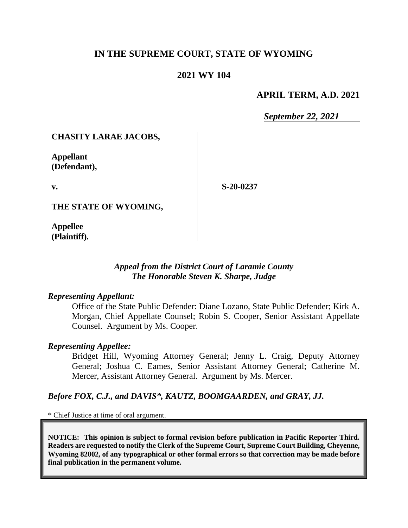# **IN THE SUPREME COURT, STATE OF WYOMING**

## **2021 WY 104**

### **APRIL TERM, A.D. 2021**

*September 22, 2021*

### **CHASITY LARAE JACOBS,**

**Appellant (Defendant),**

**v.**

**S-20-0237**

**THE STATE OF WYOMING,**

**Appellee (Plaintiff).**

### *Appeal from the District Court of Laramie County The Honorable Steven K. Sharpe, Judge*

#### *Representing Appellant:*

Office of the State Public Defender: Diane Lozano, State Public Defender; Kirk A. Morgan, Chief Appellate Counsel; Robin S. Cooper, Senior Assistant Appellate Counsel. Argument by Ms. Cooper.

### *Representing Appellee:*

Bridget Hill, Wyoming Attorney General; Jenny L. Craig, Deputy Attorney General; Joshua C. Eames, Senior Assistant Attorney General; Catherine M. Mercer, Assistant Attorney General. Argument by Ms. Mercer.

### *Before FOX, C.J., and DAVIS\*, KAUTZ, BOOMGAARDEN, and GRAY, JJ.*

\* Chief Justice at time of oral argument.

**NOTICE: This opinion is subject to formal revision before publication in Pacific Reporter Third. Readers are requested to notify the Clerk of the Supreme Court, Supreme Court Building, Cheyenne, Wyoming 82002, of any typographical or other formal errors so that correction may be made before final publication in the permanent volume.**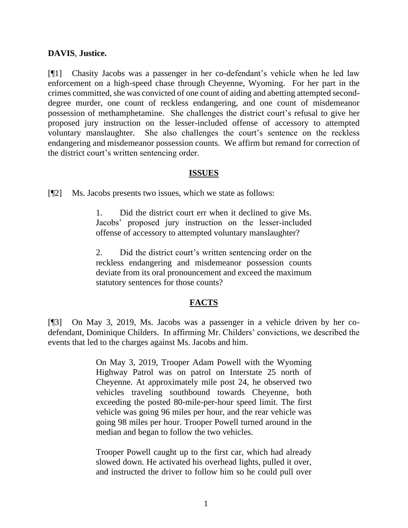## **DAVIS**, **Justice.**

[¶1] Chasity Jacobs was a passenger in her co-defendant's vehicle when he led law enforcement on a high-speed chase through Cheyenne, Wyoming. For her part in the crimes committed, she was convicted of one count of aiding and abetting attempted seconddegree murder, one count of reckless endangering, and one count of misdemeanor possession of methamphetamine. She challenges the district court's refusal to give her proposed jury instruction on the lesser-included offense of accessory to attempted voluntary manslaughter. She also challenges the court's sentence on the reckless endangering and misdemeanor possession counts. We affirm but remand for correction of the district court's written sentencing order.

### **ISSUES**

[¶2] Ms. Jacobs presents two issues, which we state as follows:

1. Did the district court err when it declined to give Ms. Jacobs' proposed jury instruction on the lesser-included offense of accessory to attempted voluntary manslaughter?

2. Did the district court's written sentencing order on the reckless endangering and misdemeanor possession counts deviate from its oral pronouncement and exceed the maximum statutory sentences for those counts?

# **FACTS**

[¶3] On May 3, 2019, Ms. Jacobs was a passenger in a vehicle driven by her codefendant, Dominique Childers. In affirming Mr. Childers' convictions, we described the events that led to the charges against Ms. Jacobs and him.

> On May 3, 2019, Trooper Adam Powell with the Wyoming Highway Patrol was on patrol on Interstate 25 north of Cheyenne. At approximately mile post 24, he observed two vehicles traveling southbound towards Cheyenne, both exceeding the posted 80-mile-per-hour speed limit. The first vehicle was going 96 miles per hour, and the rear vehicle was going 98 miles per hour. Trooper Powell turned around in the median and began to follow the two vehicles.

> Trooper Powell caught up to the first car, which had already slowed down. He activated his overhead lights, pulled it over, and instructed the driver to follow him so he could pull over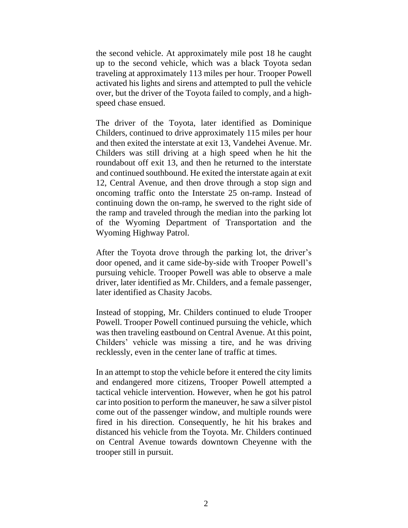the second vehicle. At approximately mile post 18 he caught up to the second vehicle, which was a black Toyota sedan traveling at approximately 113 miles per hour. Trooper Powell activated his lights and sirens and attempted to pull the vehicle over, but the driver of the Toyota failed to comply, and a highspeed chase ensued.

The driver of the Toyota, later identified as Dominique Childers, continued to drive approximately 115 miles per hour and then exited the interstate at exit 13, Vandehei Avenue. Mr. Childers was still driving at a high speed when he hit the roundabout off exit 13, and then he returned to the interstate and continued southbound. He exited the interstate again at exit 12, Central Avenue, and then drove through a stop sign and oncoming traffic onto the Interstate 25 on-ramp. Instead of continuing down the on-ramp, he swerved to the right side of the ramp and traveled through the median into the parking lot of the Wyoming Department of Transportation and the Wyoming Highway Patrol.

After the Toyota drove through the parking lot, the driver's door opened, and it came side-by-side with Trooper Powell's pursuing vehicle. Trooper Powell was able to observe a male driver, later identified as Mr. Childers, and a female passenger, later identified as Chasity Jacobs.

Instead of stopping, Mr. Childers continued to elude Trooper Powell. Trooper Powell continued pursuing the vehicle, which was then traveling eastbound on Central Avenue. At this point, Childers' vehicle was missing a tire, and he was driving recklessly, even in the center lane of traffic at times.

In an attempt to stop the vehicle before it entered the city limits and endangered more citizens, Trooper Powell attempted a tactical vehicle intervention. However, when he got his patrol car into position to perform the maneuver, he saw a silver pistol come out of the passenger window, and multiple rounds were fired in his direction. Consequently, he hit his brakes and distanced his vehicle from the Toyota. Mr. Childers continued on Central Avenue towards downtown Cheyenne with the trooper still in pursuit.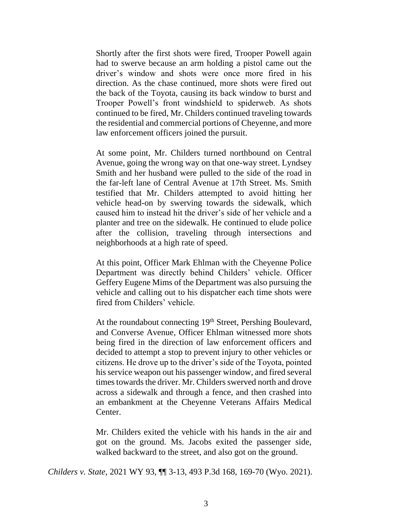Shortly after the first shots were fired, Trooper Powell again had to swerve because an arm holding a pistol came out the driver's window and shots were once more fired in his direction. As the chase continued, more shots were fired out the back of the Toyota, causing its back window to burst and Trooper Powell's front windshield to spiderweb. As shots continued to be fired, Mr. Childers continued traveling towards the residential and commercial portions of Cheyenne, and more law enforcement officers joined the pursuit.

At some point, Mr. Childers turned northbound on Central Avenue, going the wrong way on that one-way street. Lyndsey Smith and her husband were pulled to the side of the road in the far-left lane of Central Avenue at 17th Street. Ms. Smith testified that Mr. Childers attempted to avoid hitting her vehicle head-on by swerving towards the sidewalk, which caused him to instead hit the driver's side of her vehicle and a planter and tree on the sidewalk. He continued to elude police after the collision, traveling through intersections and neighborhoods at a high rate of speed.

At this point, Officer Mark Ehlman with the Cheyenne Police Department was directly behind Childers' vehicle. Officer Geffery Eugene Mims of the Department was also pursuing the vehicle and calling out to his dispatcher each time shots were fired from Childers' vehicle.

At the roundabout connecting 19<sup>th</sup> Street, Pershing Boulevard, and Converse Avenue, Officer Ehlman witnessed more shots being fired in the direction of law enforcement officers and decided to attempt a stop to prevent injury to other vehicles or citizens. He drove up to the driver's side of the Toyota, pointed his service weapon out his passenger window, and fired several times towards the driver. Mr. Childers swerved north and drove across a sidewalk and through a fence, and then crashed into an embankment at the Cheyenne Veterans Affairs Medical Center.

Mr. Childers exited the vehicle with his hands in the air and got on the ground. Ms. Jacobs exited the passenger side, walked backward to the street, and also got on the ground.

*Childers v. State*, 2021 WY 93, ¶¶ 3-13, 493 P.3d 168, 169-70 (Wyo. 2021).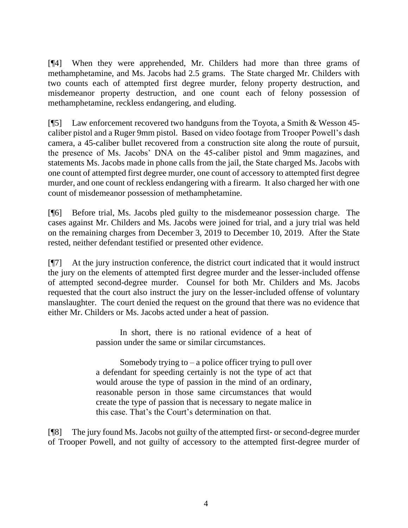[¶4] When they were apprehended, Mr. Childers had more than three grams of methamphetamine, and Ms. Jacobs had 2.5 grams. The State charged Mr. Childers with two counts each of attempted first degree murder, felony property destruction, and misdemeanor property destruction, and one count each of felony possession of methamphetamine, reckless endangering, and eluding.

[¶5] Law enforcement recovered two handguns from the Toyota, a Smith & Wesson 45 caliber pistol and a Ruger 9mm pistol. Based on video footage from Trooper Powell's dash camera, a 45-caliber bullet recovered from a construction site along the route of pursuit, the presence of Ms. Jacobs' DNA on the 45-caliber pistol and 9mm magazines, and statements Ms. Jacobs made in phone calls from the jail, the State charged Ms. Jacobs with one count of attempted first degree murder, one count of accessory to attempted first degree murder, and one count of reckless endangering with a firearm. It also charged her with one count of misdemeanor possession of methamphetamine.

[¶6] Before trial, Ms. Jacobs pled guilty to the misdemeanor possession charge. The cases against Mr. Childers and Ms. Jacobs were joined for trial, and a jury trial was held on the remaining charges from December 3, 2019 to December 10, 2019. After the State rested, neither defendant testified or presented other evidence.

[¶7] At the jury instruction conference, the district court indicated that it would instruct the jury on the elements of attempted first degree murder and the lesser-included offense of attempted second-degree murder. Counsel for both Mr. Childers and Ms. Jacobs requested that the court also instruct the jury on the lesser-included offense of voluntary manslaughter. The court denied the request on the ground that there was no evidence that either Mr. Childers or Ms. Jacobs acted under a heat of passion.

> In short, there is no rational evidence of a heat of passion under the same or similar circumstances.

> Somebody trying to  $-$  a police officer trying to pull over a defendant for speeding certainly is not the type of act that would arouse the type of passion in the mind of an ordinary, reasonable person in those same circumstances that would create the type of passion that is necessary to negate malice in this case. That's the Court's determination on that.

[¶8] The jury found Ms. Jacobs not guilty of the attempted first- or second-degree murder of Trooper Powell, and not guilty of accessory to the attempted first-degree murder of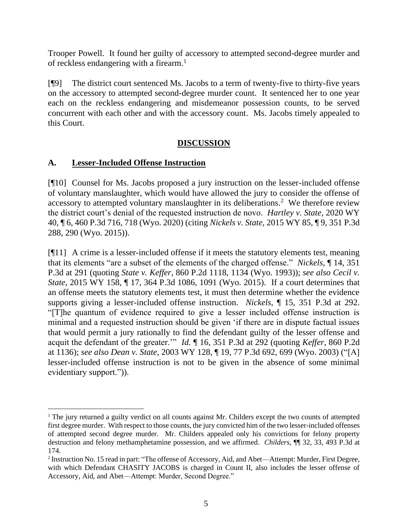Trooper Powell. It found her guilty of accessory to attempted second-degree murder and of reckless endangering with a firearm.<sup>1</sup>

[¶9] The district court sentenced Ms. Jacobs to a term of twenty-five to thirty-five years on the accessory to attempted second-degree murder count. It sentenced her to one year each on the reckless endangering and misdemeanor possession counts, to be served concurrent with each other and with the accessory count. Ms. Jacobs timely appealed to this Court.

# **DISCUSSION**

# **A. Lesser-Included Offense Instruction**

[¶10] Counsel for Ms. Jacobs proposed a jury instruction on the lesser-included offense of voluntary manslaughter, which would have allowed the jury to consider the offense of accessory to attempted voluntary manslaughter in its deliberations.<sup>2</sup> We therefore review the district court's denial of the requested instruction de novo. *Hartley v. State*, 2020 WY 40, ¶ 6, 460 P.3d 716, 718 (Wyo. 2020) (citing *Nickels v. State*[, 2015 WY 85, ¶ 9, 351 P.3d](http://www.westlaw.com/Link/Document/FullText?findType=Y&serNum=2036467133&pubNum=0004645&originatingDoc=I31218c506d6811ea81d388262956b33a&refType=RP&fi=co_pp_sp_4645_290&originationContext=document&vr=3.0&rs=cblt1.0&transitionType=DocumentItem&contextData=(sc.Keycite)#co_pp_sp_4645_290)  [288, 290 \(Wyo. 2015\)\)](http://www.westlaw.com/Link/Document/FullText?findType=Y&serNum=2036467133&pubNum=0004645&originatingDoc=I31218c506d6811ea81d388262956b33a&refType=RP&fi=co_pp_sp_4645_290&originationContext=document&vr=3.0&rs=cblt1.0&transitionType=DocumentItem&contextData=(sc.Keycite)#co_pp_sp_4645_290).

[¶11] A crime is a lesser-included offense if it meets the statutory elements test, meaning that its elements "are a subset of the elements of the charged offense." *Nickels*, ¶ 14, 351 P.3d at 291 (quoting *State v. Keffer*[, 860 P.2d 1118, 1134 \(Wyo. 1993\)\)](http://www.westlaw.com/Link/Document/FullText?findType=Y&serNum=1993189235&pubNum=0000661&originatingDoc=I263794e8148911e5b4bafa136b480ad2&refType=RP&originationContext=document&vr=3.0&rs=cblt1.0&transitionType=DocumentItem&contextData=(sc.Default)); *see also Cecil v. State*, 2015 WY 158, ¶ 17, 364 P.3d 1086, 1091 (Wyo. 2015). If a court determines that an offense meets the statutory elements test, it must then determine whether the evidence supports giving a lesser-included offense instruction. *Nickels*, ¶ 15, 351 P.3d at 292. "[T]he quantum of evidence required to give a lesser included offense instruction is minimal and a requested instruction should be given 'if there are in dispute factual issues that would permit a jury rationally to find the defendant guilty of the lesser offense and acquit the defendant of the greater.'" *Id.* ¶ 16, 351 P.3d at 292 (quoting *Keffer*, 860 P.2d at 1136); *see also Dean v. State*[, 2003 WY 128, ¶ 19, 77 P.3d 692, 699 \(Wyo. 2003\)](http://www.westlaw.com/Link/Document/FullText?findType=Y&serNum=2003692260&pubNum=0004645&originatingDoc=I263794e8148911e5b4bafa136b480ad2&refType=RP&fi=co_pp_sp_4645_697&originationContext=document&vr=3.0&rs=cblt1.0&transitionType=DocumentItem&contextData=(sc.Default)#co_pp_sp_4645_697) ("[A] lesser-included offense instruction is not to be given in the absence of some minimal evidentiary support.")).

<sup>&</sup>lt;sup>1</sup> The jury returned a guilty verdict on all counts against Mr. Childers except the two counts of attempted first degree murder. With respect to those counts, the jury convicted him of the two lesser-included offenses of attempted second degree murder. Mr. Childers appealed only his convictions for felony property destruction and felony methamphetamine possession, and we affirmed. *Childers*, ¶¶ 32, 33, 493 P.3d at 174.

<sup>&</sup>lt;sup>2</sup> Instruction No. 15 read in part: "The offense of Accessory, Aid, and Abet—Attempt: Murder, First Degree, with which Defendant CHASITY JACOBS is charged in Count II, also includes the lesser offense of Accessory, Aid, and Abet—Attempt: Murder, Second Degree."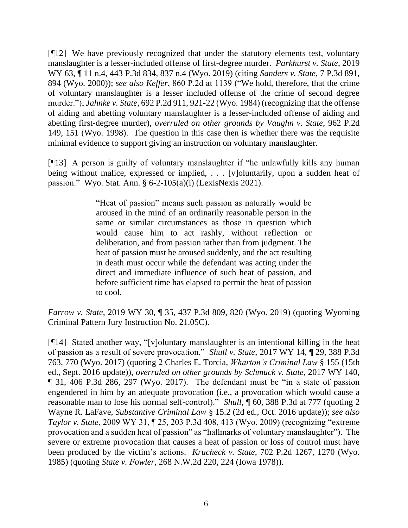[¶12] We have previously recognized that under the statutory elements test, voluntary manslaughter is a lesser-included offense of first-degree murder. *Parkhurst v. State*, 2019 WY 63, ¶ 11 n.4, 443 P.3d 834, 837 n.4 (Wyo. 2019) (citing *[Sanders v. State](http://www.westlaw.com/Link/Document/FullText?findType=Y&serNum=2000436811&pubNum=0004645&originatingDoc=If30235a092f211e981b9f3f7c11376fd&refType=RP&fi=co_pp_sp_4645_894&originationContext=document&vr=3.0&rs=cblt1.0&transitionType=DocumentItem&contextData=(sc.Search)#co_pp_sp_4645_894)*, 7 P.3d 891, [894 \(Wyo. 2000\)\)](http://www.westlaw.com/Link/Document/FullText?findType=Y&serNum=2000436811&pubNum=0004645&originatingDoc=If30235a092f211e981b9f3f7c11376fd&refType=RP&fi=co_pp_sp_4645_894&originationContext=document&vr=3.0&rs=cblt1.0&transitionType=DocumentItem&contextData=(sc.Search)#co_pp_sp_4645_894); *see also Keffer*, 860 P.2d at 1139 ("We hold, therefore, that the crime of voluntary manslaughter is a lesser included offense of the crime of second degree murder."); *Jahnke v. State*, 692 P.2d 911, 921-22 (Wyo. 1984) (recognizing that the offense of aiding and abetting voluntary manslaughter is a lesser-included offense of aiding and abetting first-degree murder), *overruled on other grounds by Vaughn v. State*, 962 P.2d 149, 151 (Wyo. 1998). The question in this case then is whether there was the requisite minimal evidence to support giving an instruction on voluntary manslaughter.

[¶13] A person is guilty of voluntary manslaughter if "he unlawfully kills any human being without malice, expressed or implied, . . . [v]oluntarily, upon a sudden heat of passion." Wyo. Stat. Ann. § 6-2-105(a)(i) (LexisNexis 2021).

> "Heat of passion" means such passion as naturally would be aroused in the mind of an ordinarily reasonable person in the same or similar circumstances as those in question which would cause him to act rashly, without reflection or deliberation, and from passion rather than from judgment. The heat of passion must be aroused suddenly, and the act resulting in death must occur while the defendant was acting under the direct and immediate influence of such heat of passion, and before sufficient time has elapsed to permit the heat of passion to cool.

*Farrow v. State*, 2019 WY 30, ¶ 35, 437 P.3d 809, 820 (Wyo. 2019) (quoting Wyoming Criminal Pattern Jury Instruction No. 21.05C).

[¶14] Stated another way, "[v]oluntary manslaughter is an intentional killing in the heat of passion as a result of severe provocation." *Shull v. State*, 2017 WY 14, ¶ 29, 388 P.3d 763, 770 (Wyo. 2017) (quoting 2 Charles E. Torcia, *Wharton's Criminal Law* § 155 (15th ed., Sept. 2016 update)), *overruled on other grounds by Schmuck v. State*, 2017 WY 140, ¶ 31, 406 P.3d 286, 297 (Wyo. 2017). The defendant must be "in a state of passion engendered in him by an adequate provocation (i.e., a provocation which would cause a reasonable man to lose his normal self-control)." *Shull,* ¶ 60, 388 P.3d at 777 (quoting [2](http://www.westlaw.com/Link/Document/FullText?findType=Y&pubNum=0102428&cite=2SUBCRLs15.2&originatingDoc=I9751c410ef4c11e69a9296e6a6f4a986&refType=TS&originationContext=document&vr=3.0&rs=cblt1.0&transitionType=DocumentItem&contextData=(sc.UserEnteredCitation))  Wayne R. LaFave, *Substantive Criminal Law* [§ 15.2 \(2d ed., Oct. 2016 update\)\)](http://www.westlaw.com/Link/Document/FullText?findType=Y&pubNum=0102428&cite=2SUBCRLs15.2&originatingDoc=I9751c410ef4c11e69a9296e6a6f4a986&refType=TS&originationContext=document&vr=3.0&rs=cblt1.0&transitionType=DocumentItem&contextData=(sc.UserEnteredCitation)); *see also Taylor v. State*, 2009 WY 31, ¶ 25, 203 P.3d 408, 413 (Wyo. 2009) (recognizing "extreme provocation and a sudden heat of passion" as "hallmarks of voluntary manslaughter"). The severe or extreme provocation that causes a heat of passion or loss of control must have been produced by the victim's actions. *Krucheck v. State*, 702 P.2d 1267, 1270 (Wyo. 1985) (quoting *State v. Fowler*[, 268 N.W.2d 220, 224 \(Iowa 1978\)\)](http://www.westlaw.com/Link/Document/FullText?findType=Y&serNum=1978128111&pubNum=0000595&originatingDoc=I7fae0e3bf53711d9b386b232635db992&refType=RP&originationContext=document&vr=3.0&rs=cblt1.0&transitionType=DocumentItem&contextData=(sc.UserEnteredCitation)).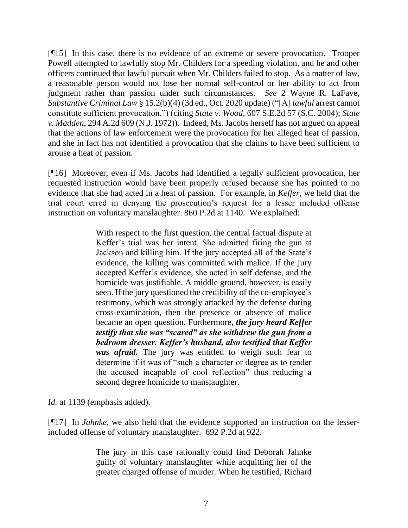[¶15] In this case, there is no evidence of an extreme or severe provocation. Trooper Powell attempted to lawfully stop Mr. Childers for a speeding violation, and he and other officers continued that lawful pursuit when Mr. Childers failed to stop. As a matter of law, a reasonable person would not lose her normal self-control or her ability to act from judgment rather than passion under such circumstances. *See* [2 Wayne R. LaFave,](http://www.westlaw.com/Link/Document/FullText?findType=Y&pubNum=0102428&cite=2SUBCRLs15.2&originatingDoc=I9751c410ef4c11e69a9296e6a6f4a986&refType=TS&originationContext=document&vr=3.0&rs=cblt1.0&transitionType=DocumentItem&contextData=(sc.UserEnteredCitation))  *Substantive Criminal Law* [§ 15.2\(b\)\(4\) \(3d ed., Oct. 2020 update\)](http://www.westlaw.com/Link/Document/FullText?findType=Y&pubNum=0102428&cite=2SUBCRLs15.2&originatingDoc=I9751c410ef4c11e69a9296e6a6f4a986&refType=TS&originationContext=document&vr=3.0&rs=cblt1.0&transitionType=DocumentItem&contextData=(sc.UserEnteredCitation)) ("[A] *lawful* arrest cannot constitute sufficient provocation.") (citing *State v. Wood*, 607 S.E.2d 57 (S.C. 2004); *State v. Madden*, 294 A.2d 609 (N.J. 1972)). Indeed, Ms. Jacobs herself has not argued on appeal that the actions of law enforcement were the provocation for her alleged heat of passion, and she in fact has not identified a provocation that she claims to have been sufficient to arouse a heat of passion.

[¶16] Moreover, even if Ms. Jacobs had identified a legally sufficient provocation, her requested instruction would have been properly refused because she has pointed to no evidence that she had acted in a heat of passion. For example, in *Keffer*, we held that the trial court erred in denying the prosecution's request for a lesser included offense instruction on voluntary manslaughter. 860 P.2d at 1140. We explained:

> With respect to the first question, the central factual dispute at Keffer's trial was her intent. She admitted firing the gun at Jackson and killing him. If the jury accepted all of the State's evidence, the killing was committed with malice. If the jury accepted Keffer's evidence, she acted in self defense, and the homicide was justifiable. A middle ground, however, is easily seen. If the jury questioned the credibility of the co-employee's testimony, which was strongly attacked by the defense during cross-examination, then the presence or absence of malice became an open question. Furthermore, *the jury heard Keffer testify that she was "scared" as she withdrew the gun from a bedroom dresser. Keffer's husband, also testified that Keffer was afraid.* The jury was entitled to weigh such fear to determine if it was of "such a character or degree as to render the accused incapable of cool reflection" thus reducing a second degree homicide to manslaughter.

*Id.* at 1139 (emphasis added).

[¶17] In *Jahnke*, we also held that the evidence supported an instruction on the lesserincluded offense of voluntary manslaughter. 692 P.2d at 922.

> The jury in this case rationally could find Deborah Jahnke guilty of voluntary manslaughter while acquitting her of the greater charged offense of murder. When he testified, Richard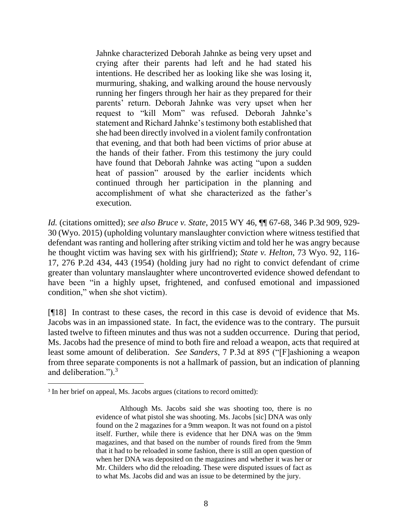Jahnke characterized Deborah Jahnke as being very upset and crying after their parents had left and he had stated his intentions. He described her as looking like she was losing it, murmuring, shaking, and walking around the house nervously running her fingers through her hair as they prepared for their parents' return. Deborah Jahnke was very upset when her request to "kill Mom" was refused. Deborah Jahnke's statement and Richard Jahnke's testimony both established that she had been directly involved in a violent family confrontation that evening, and that both had been victims of prior abuse at the hands of their father. From this testimony the jury could have found that Deborah Jahnke was acting "upon a sudden heat of passion" aroused by the earlier incidents which continued through her participation in the planning and accomplishment of what she characterized as the father's execution.

*Id.* (citations omitted); *see also Bruce v. State*, 2015 WY 46, ¶¶ 67-68, 346 P.3d 909, 929- 30 (Wyo. 2015) (upholding voluntary manslaughter conviction where witness testified that defendant was ranting and hollering after striking victim and told her he was angry because he thought victim was having sex with his girlfriend); *State v. Helton*, 73 Wyo. 92, 116- 17, 276 P.2d 434, 443 (1954) (holding jury had no right to convict defendant of crime greater than voluntary manslaughter where uncontroverted evidence showed defendant to have been "in a highly upset, frightened, and confused emotional and impassioned condition," when she shot victim).

[¶18] In contrast to these cases, the record in this case is devoid of evidence that Ms. Jacobs was in an impassioned state. In fact, the evidence was to the contrary. The pursuit lasted twelve to fifteen minutes and thus was not a sudden occurrence. During that period, Ms. Jacobs had the presence of mind to both fire and reload a weapon, acts that required at least some amount of deliberation. *See Sanders*, 7 P.3d at 895 ("[F]ashioning a weapon from three separate components is not a hallmark of passion, but an indication of planning and deliberation.").<sup>3</sup>

<sup>&</sup>lt;sup>3</sup> In her brief on appeal, Ms. Jacobs argues (citations to record omitted):

Although Ms. Jacobs said she was shooting too, there is no evidence of what pistol she was shooting. Ms. Jacobs [sic] DNA was only found on the 2 magazines for a 9mm weapon. It was not found on a pistol itself. Further, while there is evidence that her DNA was on the 9mm magazines, and that based on the number of rounds fired from the 9mm that it had to be reloaded in some fashion, there is still an open question of when her DNA was deposited on the magazines and whether it was her or Mr. Childers who did the reloading. These were disputed issues of fact as to what Ms. Jacobs did and was an issue to be determined by the jury.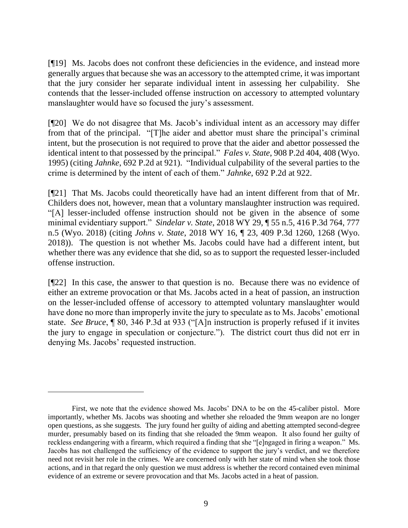[¶19] Ms. Jacobs does not confront these deficiencies in the evidence, and instead more generally argues that because she was an accessory to the attempted crime, it was important that the jury consider her separate individual intent in assessing her culpability. She contends that the lesser-included offense instruction on accessory to attempted voluntary manslaughter would have so focused the jury's assessment.

[¶20] We do not disagree that Ms. Jacob's individual intent as an accessory may differ from that of the principal. "[T]he aider and abettor must share the principal's criminal intent, but the prosecution is not required to prove that the aider and abettor possessed the identical intent to that possessed by the principal." *Fales v. State*, 908 P.2d 404, 408 (Wyo. 1995) (citing *Jahnke*, 692 P.2d at 921). "Individual culpability of the several parties to the crime is determined by the intent of each of them." *Jahnke*, 692 P.2d at 922.

[¶21] That Ms. Jacobs could theoretically have had an intent different from that of Mr. Childers does not, however, mean that a voluntary manslaughter instruction was required. "[A] lesser-included offense instruction should not be given in the absence of some minimal evidentiary support." *Sindelar v. State*, 2018 WY 29, ¶ 55 n.5, 416 P.3d 764, 777 n.5 (Wyo. 2018) (citing *Johns v. State*[, 2018 WY 16, ¶ 23, 409 P.3d 1260, 1268](http://www.westlaw.com/Link/Document/FullText?findType=Y&serNum=2043787091&pubNum=0004645&originatingDoc=I1da471904e9511e88a14e1fba2b51c53&refType=RP&fi=co_pp_sp_4645_1264&originationContext=document&vr=3.0&rs=cblt1.0&transitionType=DocumentItem&contextData=(sc.Search)#co_pp_sp_4645_1264) (Wyo. [2018\)\)](http://www.westlaw.com/Link/Document/FullText?findType=Y&serNum=2043787091&pubNum=0004645&originatingDoc=I1da471904e9511e88a14e1fba2b51c53&refType=RP&fi=co_pp_sp_4645_1264&originationContext=document&vr=3.0&rs=cblt1.0&transitionType=DocumentItem&contextData=(sc.Search)#co_pp_sp_4645_1264). The question is not whether Ms. Jacobs could have had a different intent, but whether there was any evidence that she did, so as to support the requested lesser-included offense instruction.

[¶22] In this case, the answer to that question is no. Because there was no evidence of either an extreme provocation or that Ms. Jacobs acted in a heat of passion, an instruction on the lesser-included offense of accessory to attempted voluntary manslaughter would have done no more than improperly invite the jury to speculate as to Ms. Jacobs' emotional state. *See Bruce*, ¶ 80, 346 P.3d at 933 ("[A]n instruction is properly refused if it invites the jury to engage in speculation or conjecture."). The district court thus did not err in denying Ms. Jacobs' requested instruction.

First, we note that the evidence showed Ms. Jacobs' DNA to be on the 45-caliber pistol. More importantly, whether Ms. Jacobs was shooting and whether she reloaded the 9mm weapon are no longer open questions, as she suggests. The jury found her guilty of aiding and abetting attempted second-degree murder, presumably based on its finding that she reloaded the 9mm weapon. It also found her guilty of reckless endangering with a firearm, which required a finding that she "[e]ngaged in firing a weapon." Ms. Jacobs has not challenged the sufficiency of the evidence to support the jury's verdict, and we therefore need not revisit her role in the crimes. We are concerned only with her state of mind when she took those actions, and in that regard the only question we must address is whether the record contained even minimal evidence of an extreme or severe provocation and that Ms. Jacobs acted in a heat of passion.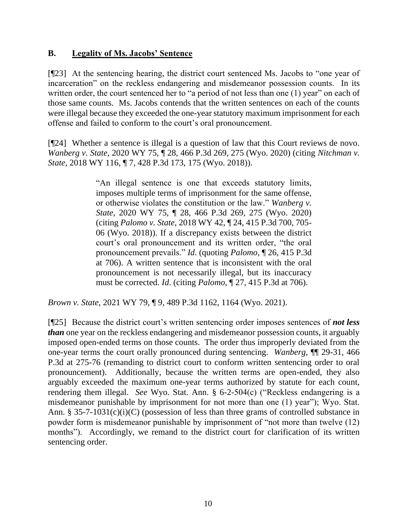# **B. Legality of Ms. Jacobs' Sentence**

[¶23] At the sentencing hearing, the district court sentenced Ms. Jacobs to "one year of incarceration" on the reckless endangering and misdemeanor possession counts. In its written order, the court sentenced her to "a period of not less than one (1) year" on each of those same counts. Ms. Jacobs contends that the written sentences on each of the counts were illegal because they exceeded the one-year statutory maximum imprisonment for each offense and failed to conform to the court's oral pronouncement.

[¶24] Whether a sentence is illegal is a question of law that this Court reviews de novo. *Wanberg v. State*, 2020 WY 75, ¶ 28, 466 P.3d 269, 275 (Wyo. 2020) (citing *[Nitchman v.](http://www.westlaw.com/Link/Document/FullText?findType=Y&serNum=2045777724&pubNum=0004645&originatingDoc=I8e6fa610af6911eabb269ba69a79554c&refType=RP&fi=co_pp_sp_4645_175&originationContext=document&vr=3.0&rs=cblt1.0&transitionType=DocumentItem&contextData=(sc.Default)#co_pp_sp_4645_175)  State*[, 2018 WY 116, ¶ 7, 428 P.3d 173,](http://www.westlaw.com/Link/Document/FullText?findType=Y&serNum=2045777724&pubNum=0004645&originatingDoc=I8e6fa610af6911eabb269ba69a79554c&refType=RP&fi=co_pp_sp_4645_175&originationContext=document&vr=3.0&rs=cblt1.0&transitionType=DocumentItem&contextData=(sc.Default)#co_pp_sp_4645_175) 175 (Wyo. 2018)).

> "An illegal sentence is one that exceeds statutory limits, imposes multiple terms of imprisonment for the same offense, or otherwise violates the constitution or the law." *[Wanberg v.](http://www.westlaw.com/Link/Document/FullText?findType=Y&serNum=2051256760&pubNum=0004645&originatingDoc=I7749fe00d92411ebb381adeb81954cc5&refType=RP&fi=co_pp_sp_4645_275&originationContext=document&vr=3.0&rs=cblt1.0&transitionType=DocumentItem&contextData=(sc.Search)#co_pp_sp_4645_275)  State*[, 2020 WY 75, ¶ 28, 466 P.3d 269, 275 \(Wyo. 2020\)](http://www.westlaw.com/Link/Document/FullText?findType=Y&serNum=2051256760&pubNum=0004645&originatingDoc=I7749fe00d92411ebb381adeb81954cc5&refType=RP&fi=co_pp_sp_4645_275&originationContext=document&vr=3.0&rs=cblt1.0&transitionType=DocumentItem&contextData=(sc.Search)#co_pp_sp_4645_275) (citing *Palomo v. State*[, 2018 WY 42, ¶ 24, 415 P.3d 700, 705-](http://www.westlaw.com/Link/Document/FullText?findType=Y&serNum=2044340436&pubNum=0004645&originatingDoc=I7749fe00d92411ebb381adeb81954cc5&refType=RP&fi=co_pp_sp_4645_705&originationContext=document&vr=3.0&rs=cblt1.0&transitionType=DocumentItem&contextData=(sc.Search)#co_pp_sp_4645_705) [06 \(Wyo. 2018\)\)](http://www.westlaw.com/Link/Document/FullText?findType=Y&serNum=2044340436&pubNum=0004645&originatingDoc=I7749fe00d92411ebb381adeb81954cc5&refType=RP&fi=co_pp_sp_4645_705&originationContext=document&vr=3.0&rs=cblt1.0&transitionType=DocumentItem&contextData=(sc.Search)#co_pp_sp_4645_705). If a discrepancy exists between the district court's oral pronouncement and its written order, "the oral pronouncement prevails." *[Id](http://www.westlaw.com/Link/Document/FullText?findType=Y&serNum=2051256760&pubNum=0006431&originatingDoc=I7749fe00d92411ebb381adeb81954cc5&refType=RP&originationContext=document&vr=3.0&rs=cblt1.0&transitionType=DocumentItem&contextData=(sc.Search))*. (quoting *Palomo*[, ¶ 26, 415 P.3d](http://www.westlaw.com/Link/Document/FullText?findType=Y&serNum=2044340436&pubNum=0004645&originatingDoc=I7749fe00d92411ebb381adeb81954cc5&refType=RP&fi=co_pp_sp_4645_706&originationContext=document&vr=3.0&rs=cblt1.0&transitionType=DocumentItem&contextData=(sc.Search)#co_pp_sp_4645_706)  [at 706\)](http://www.westlaw.com/Link/Document/FullText?findType=Y&serNum=2044340436&pubNum=0004645&originatingDoc=I7749fe00d92411ebb381adeb81954cc5&refType=RP&fi=co_pp_sp_4645_706&originationContext=document&vr=3.0&rs=cblt1.0&transitionType=DocumentItem&contextData=(sc.Search)#co_pp_sp_4645_706). A written sentence that is inconsistent with the oral pronouncement is not necessarily illegal, but its inaccuracy must be corrected. *[Id](http://www.westlaw.com/Link/Document/FullText?findType=Y&serNum=2051256760&pubNum=0006431&originatingDoc=I7749fe00d92411ebb381adeb81954cc5&refType=RP&originationContext=document&vr=3.0&rs=cblt1.0&transitionType=DocumentItem&contextData=(sc.Search))*. (citing *Palomo*[, ¶ 27, 415 P.3d at 706\)](http://www.westlaw.com/Link/Document/FullText?findType=Y&serNum=2044340436&pubNum=0004645&originatingDoc=I7749fe00d92411ebb381adeb81954cc5&refType=RP&fi=co_pp_sp_4645_706&originationContext=document&vr=3.0&rs=cblt1.0&transitionType=DocumentItem&contextData=(sc.Search)#co_pp_sp_4645_706).

*Brown v. State*, 2021 WY 79, ¶ 9, 489 P.3d 1162, 1164 (Wyo. 2021).

[¶25] Because the district court's written sentencing order imposes sentences of *not less than* one year on the reckless endangering and misdemeanor possession counts, it arguably imposed open-ended terms on those counts. The order thus improperly deviated from the one-year terms the court orally pronounced during sentencing. *Wanberg*, ¶¶ 29-31, 466 P.3d at 275-76 (remanding to district court to conform written sentencing order to oral pronouncement). Additionally, because the written terms are open-ended, they also arguably exceeded the maximum one-year terms authorized by statute for each count, rendering them illegal. *See* Wyo. Stat. Ann. § 6-2-504(c) ("Reckless endangering is a misdemeanor punishable by imprisonment for not more than one (1) year"); Wyo. Stat. Ann. § 35-7-1031(c)(i)(C) (possession of less than three grams of controlled substance in powder form is misdemeanor punishable by imprisonment of "not more than twelve (12) months"). Accordingly, we remand to the district court for clarification of its written sentencing order.